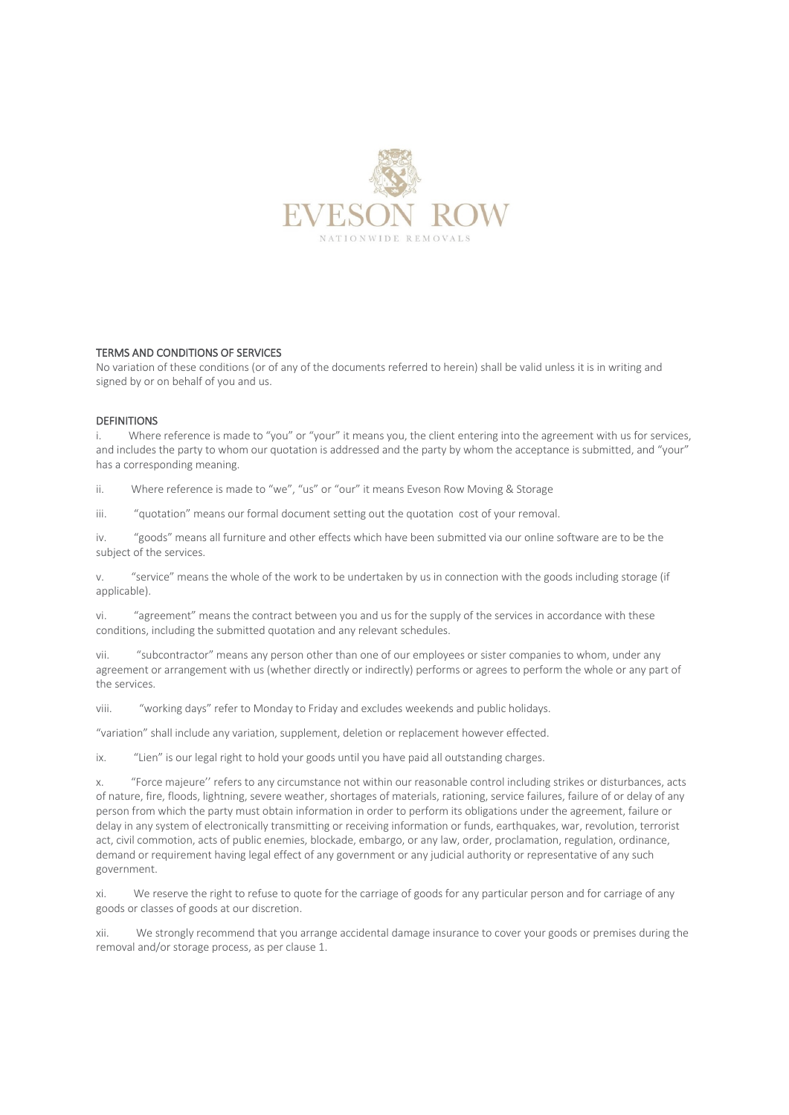

### TERMS AND CONDITIONS OF SERVICES

No variation of these conditions (or of any of the documents referred to herein) shall be valid unless it is in writing and signed by or on behalf of you and us.

### **DEFINITIONS**

i. Where reference is made to "you" or "your" it means you, the client entering into the agreement with us for services, and includes the party to whom our quotation is addressed and the party by whom the acceptance is submitted, and "your" has a corresponding meaning.

ii. Where reference is made to "we", "us" or "our" it means Eveson Row Moving & Storage

iii. "quotation" means our formal document setting out the quotation cost of your removal.

iv. "goods" means all furniture and other effects which have been submitted via our online software are to be the subject of the services.

v. "service" means the whole of the work to be undertaken by us in connection with the goods including storage (if applicable).

vi. "agreement" means the contract between you and us for the supply of the services in accordance with these conditions, including the submitted quotation and any relevant schedules.

vii. "subcontractor" means any person other than one of our employees or sister companies to whom, under any agreement or arrangement with us (whether directly or indirectly) performs or agrees to perform the whole or any part of the services.

viii. "working days" refer to Monday to Friday and excludes weekends and public holidays.

"variation" shall include any variation, supplement, deletion or replacement however effected.

ix. "Lien" is our legal right to hold your goods until you have paid all outstanding charges.

x. "Force majeure'' refers to any circumstance not within our reasonable control including strikes or disturbances, acts of nature, fire, floods, lightning, severe weather, shortages of materials, rationing, service failures, failure of or delay of any person from which the party must obtain information in order to perform its obligations under the agreement, failure or delay in any system of electronically transmitting or receiving information or funds, earthquakes, war, revolution, terrorist act, civil commotion, acts of public enemies, blockade, embargo, or any law, order, proclamation, regulation, ordinance, demand or requirement having legal effect of any government or any judicial authority or representative of any such government.

xi. We reserve the right to refuse to quote for the carriage of goods for any particular person and for carriage of any goods or classes of goods at our discretion.

xii. We strongly recommend that you arrange accidental damage insurance to cover your goods or premises during the removal and/or storage process, as per clause 1.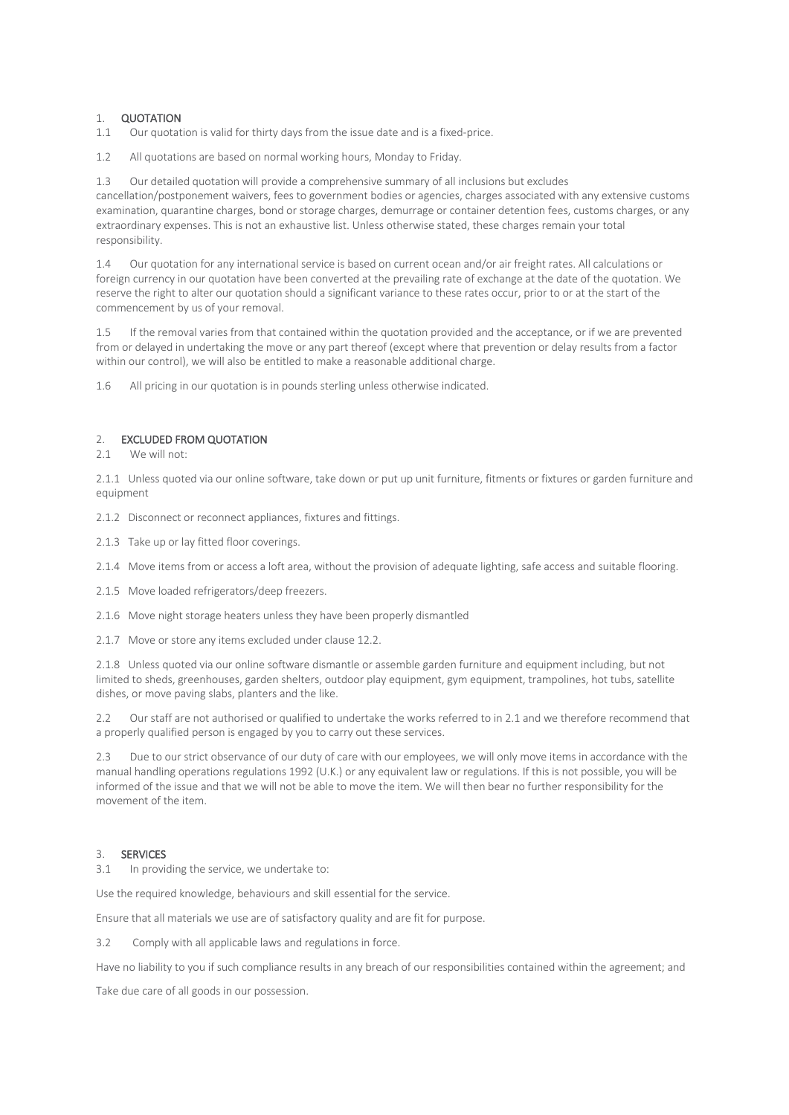## 1. QUOTATION

1.1 Our quotation is valid for thirty days from the issue date and is a fixed-price.

1.2 All quotations are based on normal working hours, Monday to Friday.

1.3 Our detailed quotation will provide a comprehensive summary of all inclusions but excludes cancellation/postponement waivers, fees to government bodies or agencies, charges associated with any extensive customs examination, quarantine charges, bond or storage charges, demurrage or container detention fees, customs charges, or any extraordinary expenses. This is not an exhaustive list. Unless otherwise stated, these charges remain your total responsibility.

1.4 Our quotation for any international service is based on current ocean and/or air freight rates. All calculations or foreign currency in our quotation have been converted at the prevailing rate of exchange at the date of the quotation. We reserve the right to alter our quotation should a significant variance to these rates occur, prior to or at the start of the commencement by us of your removal.

1.5 If the removal varies from that contained within the quotation provided and the acceptance, or if we are prevented from or delayed in undertaking the move or any part thereof (except where that prevention or delay results from a factor within our control), we will also be entitled to make a reasonable additional charge.

1.6 All pricing in our quotation is in pounds sterling unless otherwise indicated.

## 2. EXCLUDED FROM QUOTATION

2.1 We will not:

2.1.1 Unless quoted via our online software, take down or put up unit furniture, fitments or fixtures or garden furniture and equipment

2.1.2 Disconnect or reconnect appliances, fixtures and fittings.

2.1.3 Take up or lay fitted floor coverings.

2.1.4 Move items from or access a loft area, without the provision of adequate lighting, safe access and suitable flooring.

2.1.5 Move loaded refrigerators/deep freezers.

2.1.6 Move night storage heaters unless they have been properly dismantled

2.1.7 Move or store any items excluded under clause 12.2.

2.1.8 Unless quoted via our online software dismantle or assemble garden furniture and equipment including, but not limited to sheds, greenhouses, garden shelters, outdoor play equipment, gym equipment, trampolines, hot tubs, satellite dishes, or move paving slabs, planters and the like.

2.2 Our staff are not authorised or qualified to undertake the works referred to in 2.1 and we therefore recommend that a properly qualified person is engaged by you to carry out these services.

2.3 Due to our strict observance of our duty of care with our employees, we will only move items in accordance with the manual handling operations regulations 1992 (U.K.) or any equivalent law or regulations. If this is not possible, you will be informed of the issue and that we will not be able to move the item. We will then bear no further responsibility for the movement of the item.

#### 3. SERVICES

3.1 In providing the service, we undertake to:

Use the required knowledge, behaviours and skill essential for the service.

Ensure that all materials we use are of satisfactory quality and are fit for purpose.

3.2 Comply with all applicable laws and regulations in force.

Have no liability to you if such compliance results in any breach of our responsibilities contained within the agreement; and

Take due care of all goods in our possession.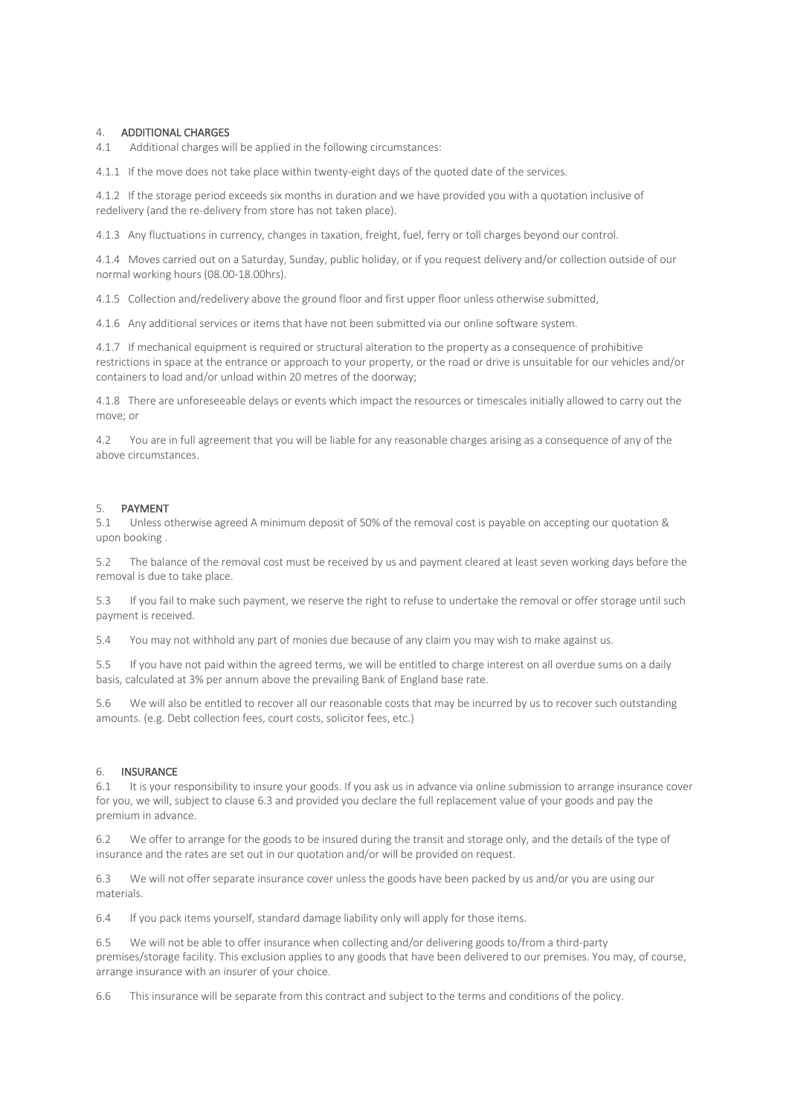## 4. ADDITIONAL CHARGES

4.1 Additional charges will be applied in the following circumstances:

4.1.1 If the move does not take place within twenty-eight days of the quoted date of the services.

4.1.2 If the storage period exceeds six months in duration and we have provided you with a quotation inclusive of redelivery (and the re-delivery from store has not taken place).

4.1.3 Any fluctuations in currency, changes in taxation, freight, fuel, ferry or toll charges beyond our control.

4.1.4 Moves carried out on a Saturday, Sunday, public holiday, or if you request delivery and/or collection outside of our normal working hours (08.00-18.00hrs).

4.1.5 Collection and/redelivery above the ground floor and first upper floor unless otherwise submitted,

4.1.6 Any additional services or items that have not been submitted via our online software system.

4.1.7 If mechanical equipment is required or structural alteration to the property as a consequence of prohibitive restrictions in space at the entrance or approach to your property, or the road or drive is unsuitable for our vehicles and/or containers to load and/or unload within 20 metres of the doorway;

4.1.8 There are unforeseeable delays or events which impact the resources or timescales initially allowed to carry out the move; or

4.2 You are in full agreement that you will be liable for any reasonable charges arising as a consequence of any of the above circumstances.

#### 5. PAYMENT

5.1 Unless otherwise agreed A minimum deposit of 50% of the removal cost is payable on accepting our quotation & upon booking .

5.2 The balance of the removal cost must be received by us and payment cleared at least seven working days before the removal is due to take place.

5.3 If you fail to make such payment, we reserve the right to refuse to undertake the removal or offer storage until such payment is received.

5.4 You may not withhold any part of monies due because of any claim you may wish to make against us.

5.5 If you have not paid within the agreed terms, we will be entitled to charge interest on all overdue sums on a daily basis, calculated at 3% per annum above the prevailing Bank of England base rate.

5.6 We will also be entitled to recover all our reasonable costs that may be incurred by us to recover such outstanding amounts. (e.g. Debt collection fees, court costs, solicitor fees, etc.)

#### 6. INSURANCE

6.1 It is your responsibility to insure your goods. If you ask us in advance via online submission to arrange insurance cover for you, we will, subject to clause 6.3 and provided you declare the full replacement value of your goods and pay the premium in advance.

6.2 We offer to arrange for the goods to be insured during the transit and storage only, and the details of the type of insurance and the rates are set out in our quotation and/or will be provided on request.

6.3 We will not offer separate insurance cover unless the goods have been packed by us and/or you are using our materials.

6.4 If you pack items yourself, standard damage liability only will apply for those items.

6.5 We will not be able to offer insurance when collecting and/or delivering goods to/from a third-party premises/storage facility. This exclusion applies to any goods that have been delivered to our premises. You may, of course, arrange insurance with an insurer of your choice.

6.6 This insurance will be separate from this contract and subject to the terms and conditions of the policy.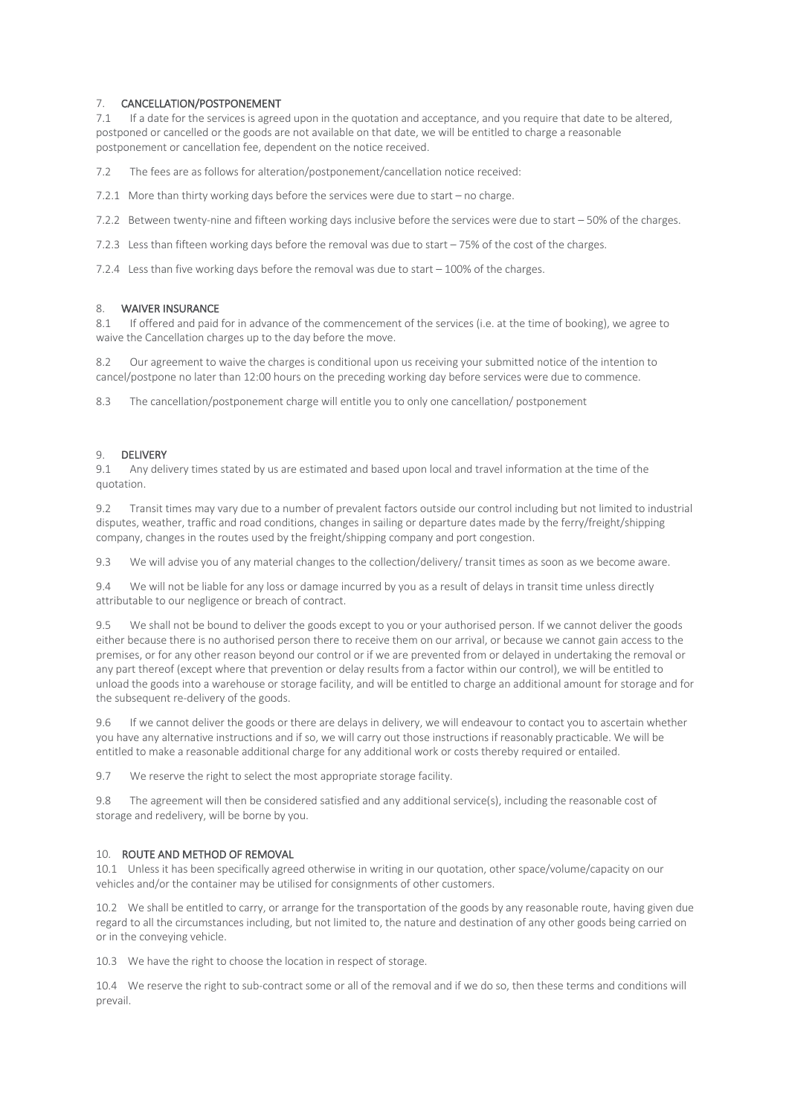# 7. CANCELLATION/POSTPONEMENT

7.1 If a date for the services is agreed upon in the quotation and acceptance, and you require that date to be altered, postponed or cancelled or the goods are not available on that date, we will be entitled to charge a reasonable postponement or cancellation fee, dependent on the notice received.

7.2 The fees are as follows for alteration/postponement/cancellation notice received:

7.2.1 More than thirty working days before the services were due to start – no charge.

7.2.2 Between twenty-nine and fifteen working days inclusive before the services were due to start – 50% of the charges.

7.2.3 Less than fifteen working days before the removal was due to start – 75% of the cost of the charges.

7.2.4 Less than five working days before the removal was due to start – 100% of the charges.

## 8. WAIVER INSURANCE

8.1 If offered and paid for in advance of the commencement of the services (i.e. at the time of booking), we agree to waive the Cancellation charges up to the day before the move.

8.2 Our agreement to waive the charges is conditional upon us receiving your submitted notice of the intention to cancel/postpone no later than 12:00 hours on the preceding working day before services were due to commence.

8.3 The cancellation/postponement charge will entitle you to only one cancellation/ postponement

### 9. DELIVERY

9.1 Any delivery times stated by us are estimated and based upon local and travel information at the time of the quotation.

9.2 Transit times may vary due to a number of prevalent factors outside our control including but not limited to industrial disputes, weather, traffic and road conditions, changes in sailing or departure dates made by the ferry/freight/shipping company, changes in the routes used by the freight/shipping company and port congestion.

9.3 We will advise you of any material changes to the collection/delivery/ transit times as soon as we become aware.

9.4 We will not be liable for any loss or damage incurred by you as a result of delays in transit time unless directly attributable to our negligence or breach of contract.

9.5 We shall not be bound to deliver the goods except to you or your authorised person. If we cannot deliver the goods either because there is no authorised person there to receive them on our arrival, or because we cannot gain access to the premises, or for any other reason beyond our control or if we are prevented from or delayed in undertaking the removal or any part thereof (except where that prevention or delay results from a factor within our control), we will be entitled to unload the goods into a warehouse or storage facility, and will be entitled to charge an additional amount for storage and for the subsequent re-delivery of the goods.

9.6 If we cannot deliver the goods or there are delays in delivery, we will endeavour to contact you to ascertain whether you have any alternative instructions and if so, we will carry out those instructions if reasonably practicable. We will be entitled to make a reasonable additional charge for any additional work or costs thereby required or entailed.

9.7 We reserve the right to select the most appropriate storage facility.

9.8 The agreement will then be considered satisfied and any additional service(s), including the reasonable cost of storage and redelivery, will be borne by you.

## 10. ROUTE AND METHOD OF REMOVAL

10.1 Unless it has been specifically agreed otherwise in writing in our quotation, other space/volume/capacity on our vehicles and/or the container may be utilised for consignments of other customers.

10.2 We shall be entitled to carry, or arrange for the transportation of the goods by any reasonable route, having given due regard to all the circumstances including, but not limited to, the nature and destination of any other goods being carried on or in the conveying vehicle.

10.3 We have the right to choose the location in respect of storage.

10.4 We reserve the right to sub-contract some or all of the removal and if we do so, then these terms and conditions will prevail.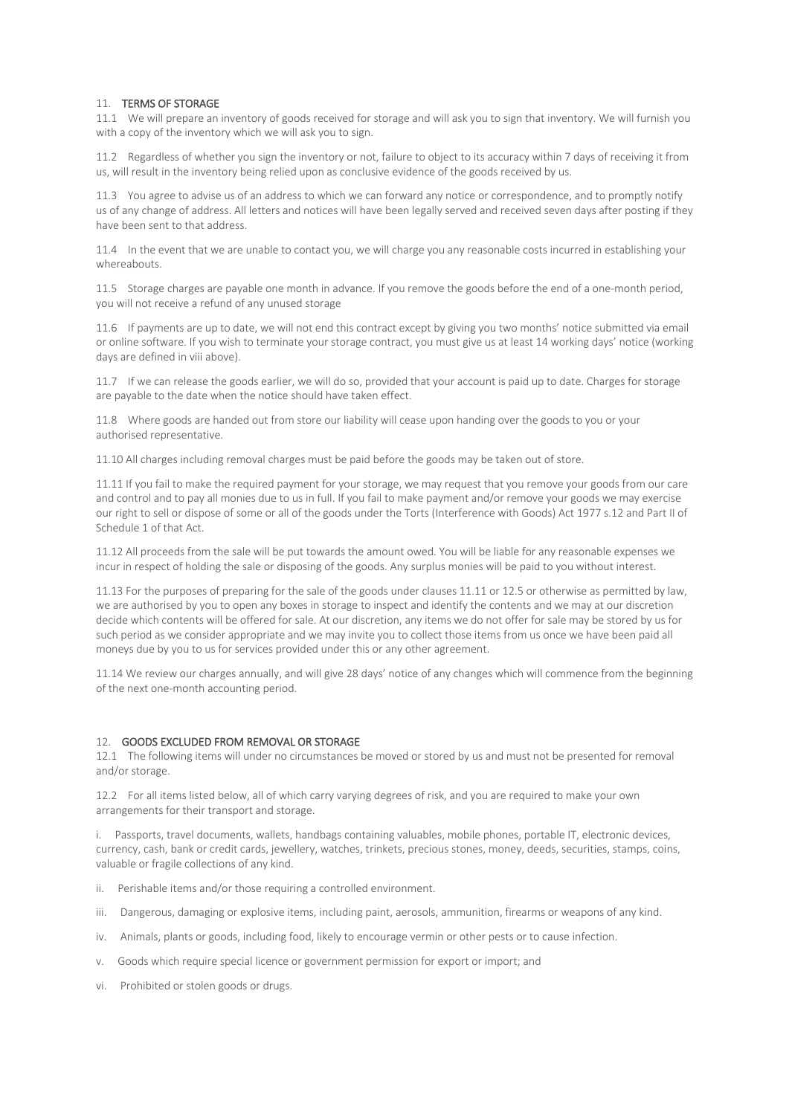## 11. TERMS OF STORAGE

11.1 We will prepare an inventory of goods received for storage and will ask you to sign that inventory. We will furnish you with a copy of the inventory which we will ask you to sign.

11.2 Regardless of whether you sign the inventory or not, failure to object to its accuracy within 7 days of receiving it from us, will result in the inventory being relied upon as conclusive evidence of the goods received by us.

11.3 You agree to advise us of an address to which we can forward any notice or correspondence, and to promptly notify us of any change of address. All letters and notices will have been legally served and received seven days after posting if they have been sent to that address.

11.4 In the event that we are unable to contact you, we will charge you any reasonable costs incurred in establishing your whereabouts.

11.5 Storage charges are payable one month in advance. If you remove the goods before the end of a one-month period, you will not receive a refund of any unused storage

11.6 If payments are up to date, we will not end this contract except by giving you two months' notice submitted via email or online software. If you wish to terminate your storage contract, you must give us at least 14 working days' notice (working days are defined in viii above).

11.7 If we can release the goods earlier, we will do so, provided that your account is paid up to date. Charges for storage are payable to the date when the notice should have taken effect.

11.8 Where goods are handed out from store our liability will cease upon handing over the goods to you or your authorised representative.

11.10 All charges including removal charges must be paid before the goods may be taken out of store.

11.11 If you fail to make the required payment for your storage, we may request that you remove your goods from our care and control and to pay all monies due to us in full. If you fail to make payment and/or remove your goods we may exercise our right to sell or dispose of some or all of the goods under the Torts (Interference with Goods) Act 1977 s.12 and Part II of Schedule 1 of that Act.

11.12 All proceeds from the sale will be put towards the amount owed. You will be liable for any reasonable expenses we incur in respect of holding the sale or disposing of the goods. Any surplus monies will be paid to you without interest.

11.13 For the purposes of preparing for the sale of the goods under clauses 11.11 or 12.5 or otherwise as permitted by law, we are authorised by you to open any boxes in storage to inspect and identify the contents and we may at our discretion decide which contents will be offered for sale. At our discretion, any items we do not offer for sale may be stored by us for such period as we consider appropriate and we may invite you to collect those items from us once we have been paid all moneys due by you to us for services provided under this or any other agreement.

11.14 We review our charges annually, and will give 28 days' notice of any changes which will commence from the beginning of the next one-month accounting period.

## 12. GOODS EXCLUDED FROM REMOVAL OR STORAGE

12.1 The following items will under no circumstances be moved or stored by us and must not be presented for removal and/or storage.

12.2 For all items listed below, all of which carry varying degrees of risk, and you are required to make your own arrangements for their transport and storage.

i. Passports, travel documents, wallets, handbags containing valuables, mobile phones, portable IT, electronic devices, currency, cash, bank or credit cards, jewellery, watches, trinkets, precious stones, money, deeds, securities, stamps, coins, valuable or fragile collections of any kind.

- ii. Perishable items and/or those requiring a controlled environment.
- iii. Dangerous, damaging or explosive items, including paint, aerosols, ammunition, firearms or weapons of any kind.
- iv. Animals, plants or goods, including food, likely to encourage vermin or other pests or to cause infection.
- v. Goods which require special licence or government permission for export or import; and
- vi. Prohibited or stolen goods or drugs.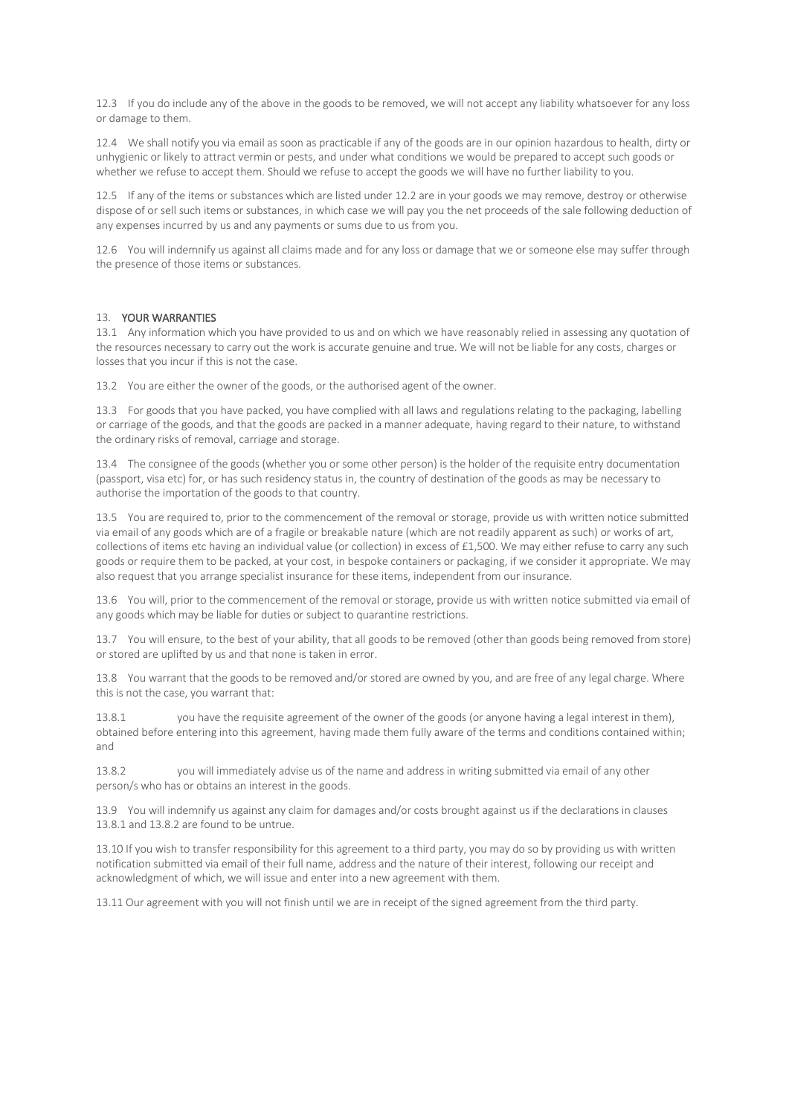12.3 If you do include any of the above in the goods to be removed, we will not accept any liability whatsoever for any loss or damage to them.

12.4 We shall notify you via email as soon as practicable if any of the goods are in our opinion hazardous to health, dirty or unhygienic or likely to attract vermin or pests, and under what conditions we would be prepared to accept such goods or whether we refuse to accept them. Should we refuse to accept the goods we will have no further liability to you.

12.5 If any of the items or substances which are listed under 12.2 are in your goods we may remove, destroy or otherwise dispose of or sell such items or substances, in which case we will pay you the net proceeds of the sale following deduction of any expenses incurred by us and any payments or sums due to us from you.

12.6 You will indemnify us against all claims made and for any loss or damage that we or someone else may suffer through the presence of those items or substances.

# 13. YOUR WARRANTIES

13.1 Any information which you have provided to us and on which we have reasonably relied in assessing any quotation of the resources necessary to carry out the work is accurate genuine and true. We will not be liable for any costs, charges or losses that you incur if this is not the case.

13.2 You are either the owner of the goods, or the authorised agent of the owner.

13.3 For goods that you have packed, you have complied with all laws and regulations relating to the packaging, labelling or carriage of the goods, and that the goods are packed in a manner adequate, having regard to their nature, to withstand the ordinary risks of removal, carriage and storage.

13.4 The consignee of the goods (whether you or some other person) is the holder of the requisite entry documentation (passport, visa etc) for, or has such residency status in, the country of destination of the goods as may be necessary to authorise the importation of the goods to that country.

13.5 You are required to, prior to the commencement of the removal or storage, provide us with written notice submitted via email of any goods which are of a fragile or breakable nature (which are not readily apparent as such) or works of art, collections of items etc having an individual value (or collection) in excess of £1,500. We may either refuse to carry any such goods or require them to be packed, at your cost, in bespoke containers or packaging, if we consider it appropriate. We may also request that you arrange specialist insurance for these items, independent from our insurance.

13.6 You will, prior to the commencement of the removal or storage, provide us with written notice submitted via email of any goods which may be liable for duties or subject to quarantine restrictions.

13.7 You will ensure, to the best of your ability, that all goods to be removed (other than goods being removed from store) or stored are uplifted by us and that none is taken in error.

13.8 You warrant that the goods to be removed and/or stored are owned by you, and are free of any legal charge. Where this is not the case, you warrant that:

13.8.1 you have the requisite agreement of the owner of the goods (or anyone having a legal interest in them), obtained before entering into this agreement, having made them fully aware of the terms and conditions contained within; and

13.8.2 you will immediately advise us of the name and address in writing submitted via email of any other person/s who has or obtains an interest in the goods.

13.9 You will indemnify us against any claim for damages and/or costs brought against us if the declarations in clauses 13.8.1 and 13.8.2 are found to be untrue.

13.10 If you wish to transfer responsibility for this agreement to a third party, you may do so by providing us with written notification submitted via email of their full name, address and the nature of their interest, following our receipt and acknowledgment of which, we will issue and enter into a new agreement with them.

13.11 Our agreement with you will not finish until we are in receipt of the signed agreement from the third party.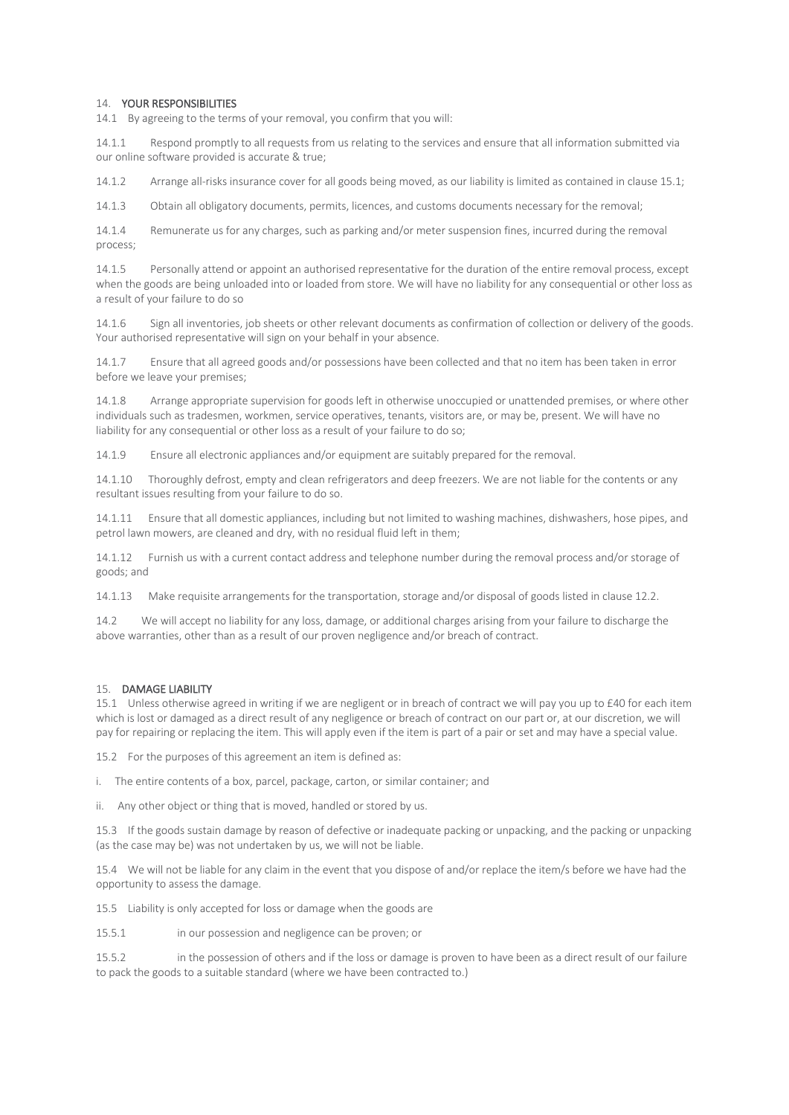## 14. YOUR RESPONSIBILITIES

14.1 By agreeing to the terms of your removal, you confirm that you will:

14.1.1 Respond promptly to all requests from us relating to the services and ensure that all information submitted via our online software provided is accurate & true;

14.1.2 Arrange all-risks insurance cover for all goods being moved, as our liability is limited as contained in clause 15.1;

14.1.3 Obtain all obligatory documents, permits, licences, and customs documents necessary for the removal;

14.1.4 Remunerate us for any charges, such as parking and/or meter suspension fines, incurred during the removal process;

14.1.5 Personally attend or appoint an authorised representative for the duration of the entire removal process, except when the goods are being unloaded into or loaded from store. We will have no liability for any consequential or other loss as a result of your failure to do so

14.1.6 Sign all inventories, job sheets or other relevant documents as confirmation of collection or delivery of the goods. Your authorised representative will sign on your behalf in your absence.

14.1.7 Ensure that all agreed goods and/or possessions have been collected and that no item has been taken in error before we leave your premises;

14.1.8 Arrange appropriate supervision for goods left in otherwise unoccupied or unattended premises, or where other individuals such as tradesmen, workmen, service operatives, tenants, visitors are, or may be, present. We will have no liability for any consequential or other loss as a result of your failure to do so;

14.1.9 Ensure all electronic appliances and/or equipment are suitably prepared for the removal.

14.1.10 Thoroughly defrost, empty and clean refrigerators and deep freezers. We are not liable for the contents or any resultant issues resulting from your failure to do so.

14.1.11 Ensure that all domestic appliances, including but not limited to washing machines, dishwashers, hose pipes, and petrol lawn mowers, are cleaned and dry, with no residual fluid left in them;

14.1.12 Furnish us with a current contact address and telephone number during the removal process and/or storage of goods; and

14.1.13 Make requisite arrangements for the transportation, storage and/or disposal of goods listed in clause 12.2.

14.2 We will accept no liability for any loss, damage, or additional charges arising from your failure to discharge the above warranties, other than as a result of our proven negligence and/or breach of contract.

## 15. DAMAGE LIABILITY

15.1 Unless otherwise agreed in writing if we are negligent or in breach of contract we will pay you up to £40 for each item which is lost or damaged as a direct result of any negligence or breach of contract on our part or, at our discretion, we will pay for repairing or replacing the item. This will apply even if the item is part of a pair or set and may have a special value.

15.2 For the purposes of this agreement an item is defined as:

i. The entire contents of a box, parcel, package, carton, or similar container; and

ii. Any other object or thing that is moved, handled or stored by us.

15.3 If the goods sustain damage by reason of defective or inadequate packing or unpacking, and the packing or unpacking (as the case may be) was not undertaken by us, we will not be liable.

15.4 We will not be liable for any claim in the event that you dispose of and/or replace the item/s before we have had the opportunity to assess the damage.

15.5 Liability is only accepted for loss or damage when the goods are

15.5.1 in our possession and negligence can be proven; or

15.5.2 in the possession of others and if the loss or damage is proven to have been as a direct result of our failure to pack the goods to a suitable standard (where we have been contracted to.)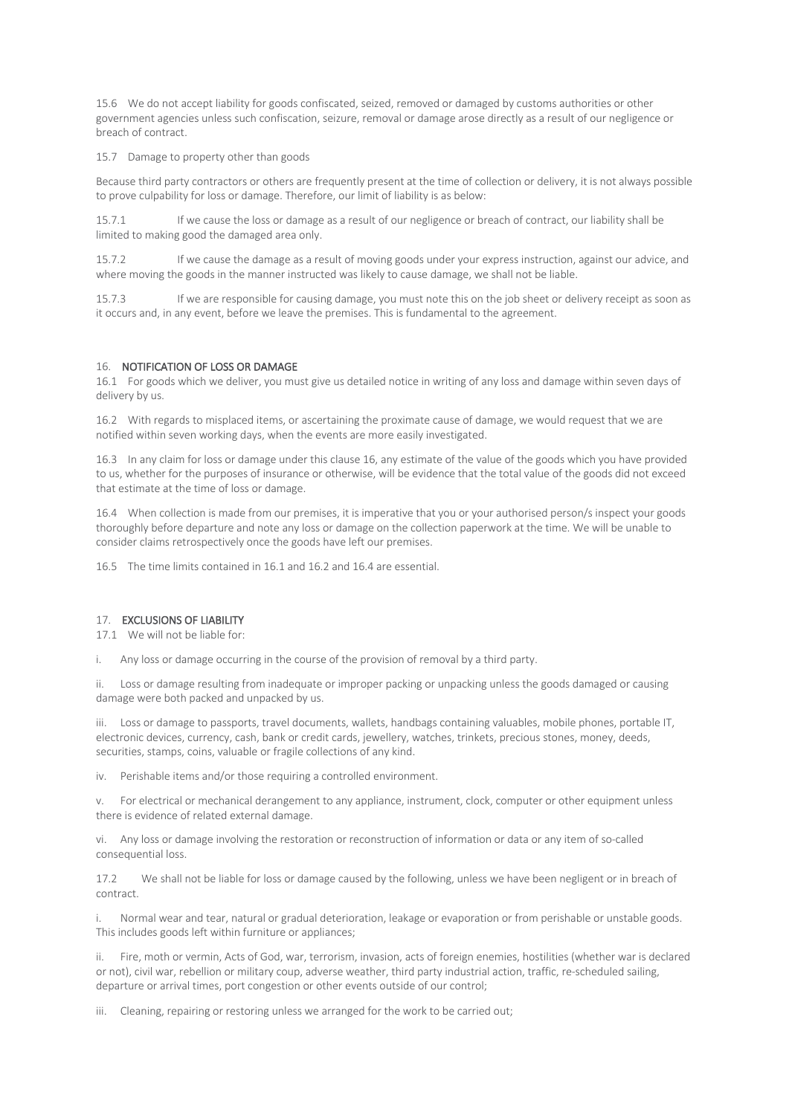15.6 We do not accept liability for goods confiscated, seized, removed or damaged by customs authorities or other government agencies unless such confiscation, seizure, removal or damage arose directly as a result of our negligence or breach of contract.

15.7 Damage to property other than goods

Because third party contractors or others are frequently present at the time of collection or delivery, it is not always possible to prove culpability for loss or damage. Therefore, our limit of liability is as below:

15.7.1 If we cause the loss or damage as a result of our negligence or breach of contract, our liability shall be limited to making good the damaged area only.

15.7.2 If we cause the damage as a result of moving goods under your express instruction, against our advice, and where moving the goods in the manner instructed was likely to cause damage, we shall not be liable.

15.7.3 If we are responsible for causing damage, you must note this on the job sheet or delivery receipt as soon as it occurs and, in any event, before we leave the premises. This is fundamental to the agreement.

### 16. NOTIFICATION OF LOSS OR DAMAGE

16.1 For goods which we deliver, you must give us detailed notice in writing of any loss and damage within seven days of delivery by us.

16.2 With regards to misplaced items, or ascertaining the proximate cause of damage, we would request that we are notified within seven working days, when the events are more easily investigated.

16.3 In any claim for loss or damage under this clause 16, any estimate of the value of the goods which you have provided to us, whether for the purposes of insurance or otherwise, will be evidence that the total value of the goods did not exceed that estimate at the time of loss or damage.

16.4 When collection is made from our premises, it is imperative that you or your authorised person/s inspect your goods thoroughly before departure and note any loss or damage on the collection paperwork at the time. We will be unable to consider claims retrospectively once the goods have left our premises.

16.5 The time limits contained in 16.1 and 16.2 and 16.4 are essential.

## 17. EXCLUSIONS OF LIABILITY

17.1 We will not be liable for:

i. Any loss or damage occurring in the course of the provision of removal by a third party.

ii. Loss or damage resulting from inadequate or improper packing or unpacking unless the goods damaged or causing damage were both packed and unpacked by us.

iii. Loss or damage to passports, travel documents, wallets, handbags containing valuables, mobile phones, portable IT, electronic devices, currency, cash, bank or credit cards, jewellery, watches, trinkets, precious stones, money, deeds, securities, stamps, coins, valuable or fragile collections of any kind.

iv. Perishable items and/or those requiring a controlled environment.

v. For electrical or mechanical derangement to any appliance, instrument, clock, computer or other equipment unless there is evidence of related external damage.

vi. Any loss or damage involving the restoration or reconstruction of information or data or any item of so-called consequential loss.

17.2 We shall not be liable for loss or damage caused by the following, unless we have been negligent or in breach of contract.

i. Normal wear and tear, natural or gradual deterioration, leakage or evaporation or from perishable or unstable goods. This includes goods left within furniture or appliances;

ii. Fire, moth or vermin, Acts of God, war, terrorism, invasion, acts of foreign enemies, hostilities (whether war is declared or not), civil war, rebellion or military coup, adverse weather, third party industrial action, traffic, re-scheduled sailing, departure or arrival times, port congestion or other events outside of our control;

Cleaning, repairing or restoring unless we arranged for the work to be carried out;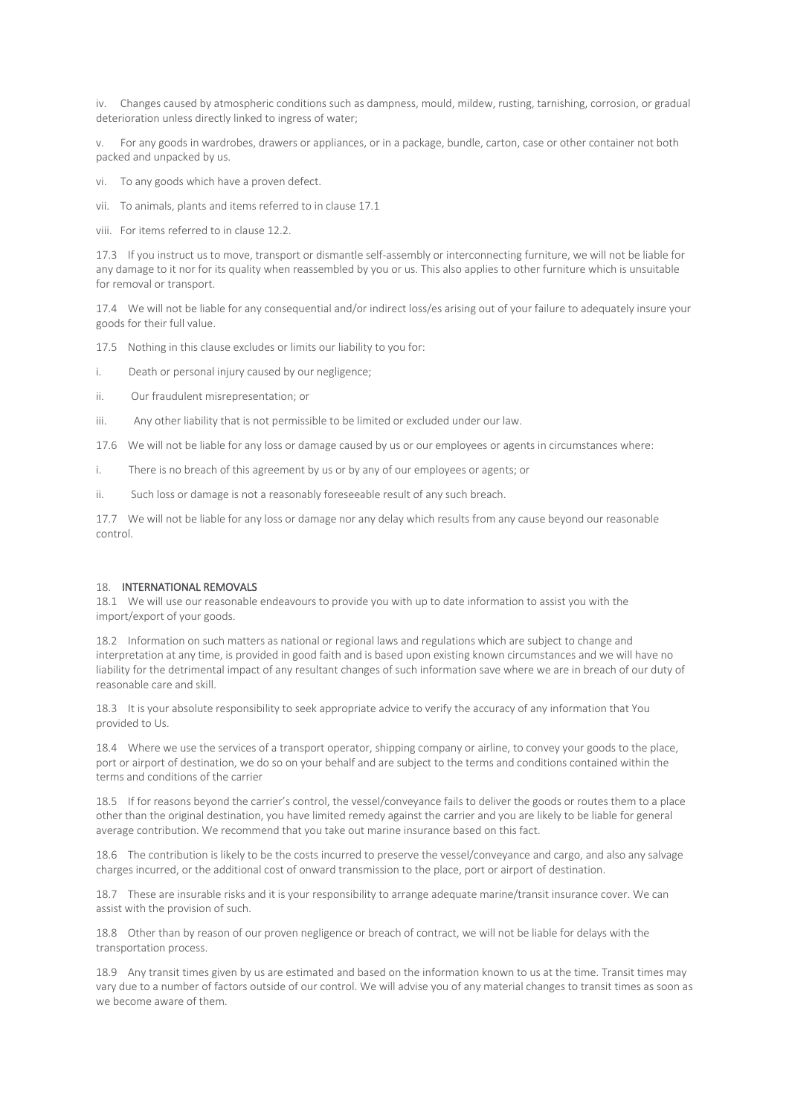iv. Changes caused by atmospheric conditions such as dampness, mould, mildew, rusting, tarnishing, corrosion, or gradual deterioration unless directly linked to ingress of water;

v. For any goods in wardrobes, drawers or appliances, or in a package, bundle, carton, case or other container not both packed and unpacked by us.

- vi. To any goods which have a proven defect.
- vii. To animals, plants and items referred to in clause 17.1
- viii. For items referred to in clause 12.2.

17.3 If you instruct us to move, transport or dismantle self-assembly or interconnecting furniture, we will not be liable for any damage to it nor for its quality when reassembled by you or us. This also applies to other furniture which is unsuitable for removal or transport.

17.4 We will not be liable for any consequential and/or indirect loss/es arising out of your failure to adequately insure your goods for their full value.

- 17.5 Nothing in this clause excludes or limits our liability to you for:
- i. Death or personal injury caused by our negligence;
- ii. Our fraudulent misrepresentation; or
- iii. Any other liability that is not permissible to be limited or excluded under our law.
- 17.6 We will not be liable for any loss or damage caused by us or our employees or agents in circumstances where:
- i. There is no breach of this agreement by us or by any of our employees or agents; or
- ii. Such loss or damage is not a reasonably foreseeable result of any such breach.

17.7 We will not be liable for any loss or damage nor any delay which results from any cause beyond our reasonable control.

#### 18. INTERNATIONAL REMOVALS

18.1 We will use our reasonable endeavours to provide you with up to date information to assist you with the import/export of your goods.

18.2 Information on such matters as national or regional laws and regulations which are subject to change and interpretation at any time, is provided in good faith and is based upon existing known circumstances and we will have no liability for the detrimental impact of any resultant changes of such information save where we are in breach of our duty of reasonable care and skill.

18.3 It is your absolute responsibility to seek appropriate advice to verify the accuracy of any information that You provided to Us.

18.4 Where we use the services of a transport operator, shipping company or airline, to convey your goods to the place, port or airport of destination, we do so on your behalf and are subject to the terms and conditions contained within the terms and conditions of the carrier

18.5 If for reasons beyond the carrier's control, the vessel/conveyance fails to deliver the goods or routes them to a place other than the original destination, you have limited remedy against the carrier and you are likely to be liable for general average contribution. We recommend that you take out marine insurance based on this fact.

18.6 The contribution is likely to be the costs incurred to preserve the vessel/conveyance and cargo, and also any salvage charges incurred, or the additional cost of onward transmission to the place, port or airport of destination.

18.7 These are insurable risks and it is your responsibility to arrange adequate marine/transit insurance cover. We can assist with the provision of such.

18.8 Other than by reason of our proven negligence or breach of contract, we will not be liable for delays with the transportation process.

18.9 Any transit times given by us are estimated and based on the information known to us at the time. Transit times may vary due to a number of factors outside of our control. We will advise you of any material changes to transit times as soon as we become aware of them.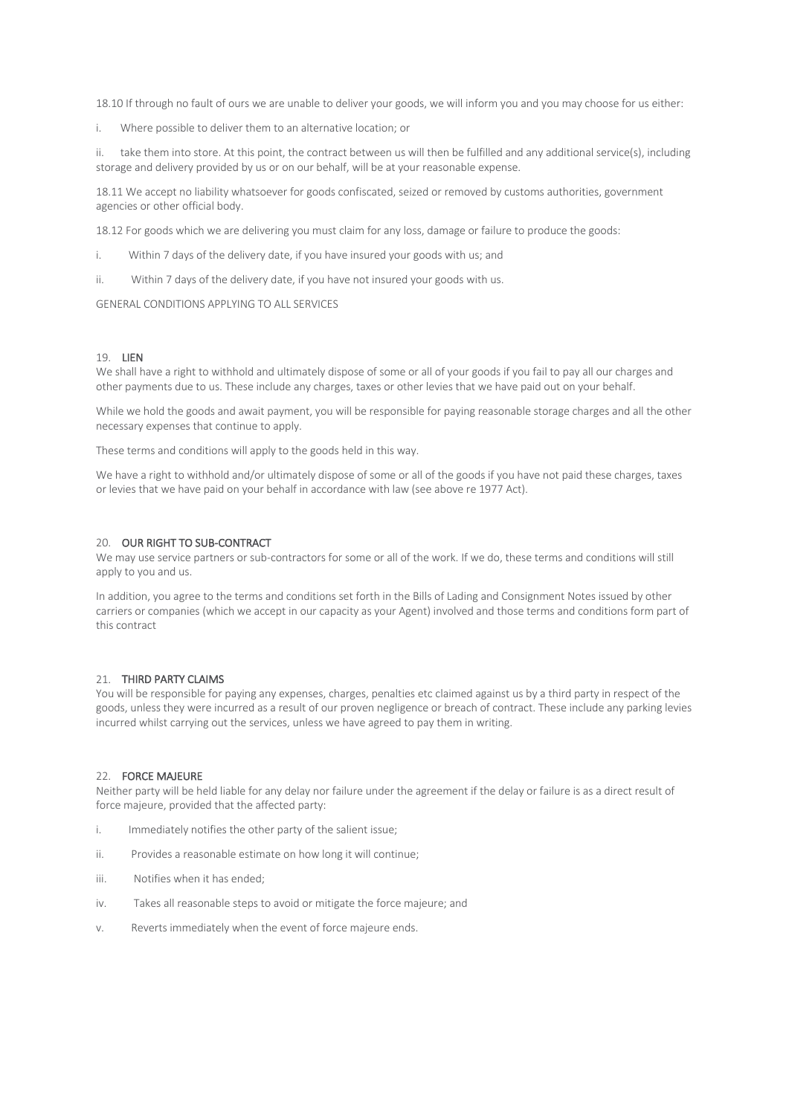18.10 If through no fault of ours we are unable to deliver your goods, we will inform you and you may choose for us either:

i. Where possible to deliver them to an alternative location; or

ii. take them into store. At this point, the contract between us will then be fulfilled and any additional service(s), including storage and delivery provided by us or on our behalf, will be at your reasonable expense.

18.11 We accept no liability whatsoever for goods confiscated, seized or removed by customs authorities, government agencies or other official body.

18.12 For goods which we are delivering you must claim for any loss, damage or failure to produce the goods:

- i. Within 7 days of the delivery date, if you have insured your goods with us; and
- ii. Within 7 days of the delivery date, if you have not insured your goods with us.

GENERAL CONDITIONS APPLYING TO ALL SERVICES

### 19. LIEN

We shall have a right to withhold and ultimately dispose of some or all of your goods if you fail to pay all our charges and other payments due to us. These include any charges, taxes or other levies that we have paid out on your behalf.

While we hold the goods and await payment, you will be responsible for paying reasonable storage charges and all the other necessary expenses that continue to apply.

These terms and conditions will apply to the goods held in this way.

We have a right to withhold and/or ultimately dispose of some or all of the goods if you have not paid these charges, taxes or levies that we have paid on your behalf in accordance with law (see above re 1977 Act).

## 20. OUR RIGHT TO SUB-CONTRACT

We may use service partners or sub-contractors for some or all of the work. If we do, these terms and conditions will still apply to you and us.

In addition, you agree to the terms and conditions set forth in the Bills of Lading and Consignment Notes issued by other carriers or companies (which we accept in our capacity as your Agent) involved and those terms and conditions form part of this contract

#### 21. THIRD PARTY CLAIMS

You will be responsible for paying any expenses, charges, penalties etc claimed against us by a third party in respect of the goods, unless they were incurred as a result of our proven negligence or breach of contract. These include any parking levies incurred whilst carrying out the services, unless we have agreed to pay them in writing.

#### 22. FORCE MAJEURE

Neither party will be held liable for any delay nor failure under the agreement if the delay or failure is as a direct result of force majeure, provided that the affected party:

- i. Immediately notifies the other party of the salient issue;
- ii. Provides a reasonable estimate on how long it will continue;
- iii. Notifies when it has ended;
- iv. Takes all reasonable steps to avoid or mitigate the force majeure; and
- v. Reverts immediately when the event of force majeure ends.